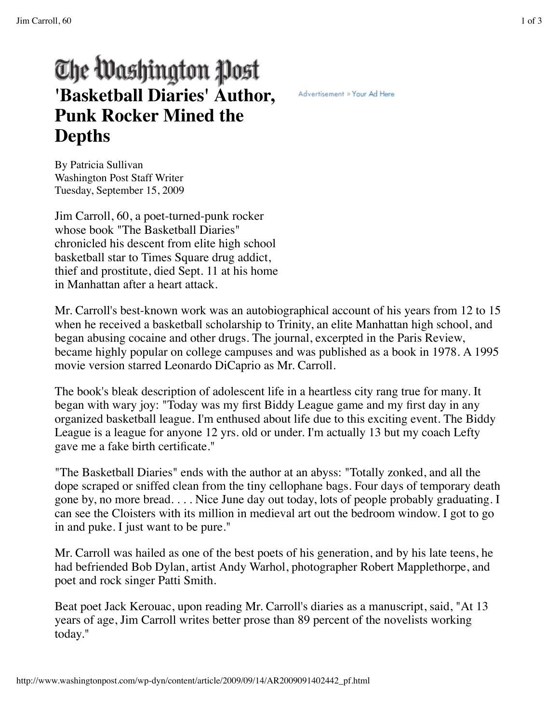## The Washington Post **'Basketball Diaries' Author, Punk Rocker Mined the Depths**

By Patricia Sullivan Washington Post Staff Writer Tuesday, September 15, 2009

Jim Carroll, 60, a poet-turned-punk rocker whose book "The Basketball Diaries" chronicled his descent from elite high school basketball star to Times Square drug addict, thief and prostitute, died Sept. 11 at his home in Manhattan after a heart attack.

Mr. Carroll's best-known work was an autobiographical account of his years from 12 to 15 when he received a basketball scholarship to Trinity, an elite Manhattan high school, and began abusing cocaine and other drugs. The journal, excerpted in the Paris Review, became highly popular on college campuses and was published as a book in 1978. A 1995 movie version starred Leonardo DiCaprio as Mr. Carroll.

The book's bleak description of adolescent life in a heartless city rang true for many. It began with wary joy: "Today was my first Biddy League game and my first day in any organized basketball league. I'm enthused about life due to this exciting event. The Biddy League is a league for anyone 12 yrs. old or under. I'm actually 13 but my coach Lefty gave me a fake birth certificate."

"The Basketball Diaries" ends with the author at an abyss: "Totally zonked, and all the dope scraped or sniffed clean from the tiny cellophane bags. Four days of temporary death gone by, no more bread. . . . Nice June day out today, lots of people probably graduating. I can see the Cloisters with its million in medieval art out the bedroom window. I got to go in and puke. I just want to be pure."

Mr. Carroll was hailed as one of the best poets of his generation, and by his late teens, he had befriended Bob Dylan, artist Andy Warhol, photographer Robert Mapplethorpe, and poet and rock singer Patti Smith.

Beat poet Jack Kerouac, upon reading Mr. Carroll's diaries as a manuscript, said, "At 13 years of age, Jim Carroll writes better prose than 89 percent of the novelists working today."

Advertisement » Your Ad Here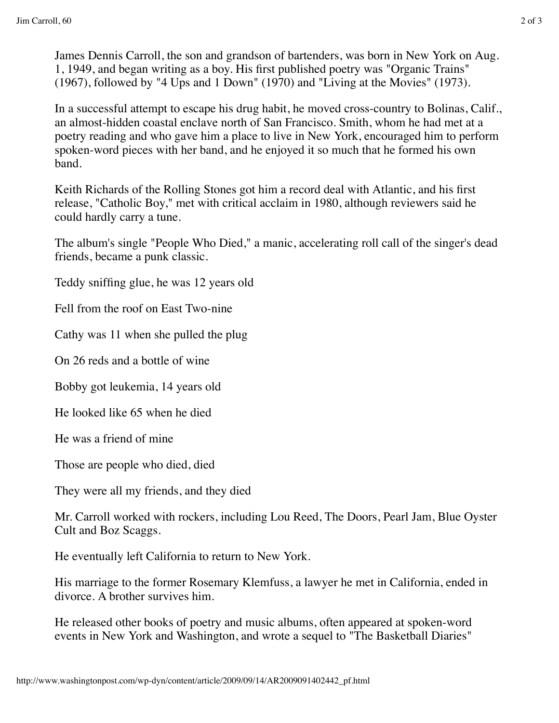James Dennis Carroll, the son and grandson of bartenders, was born in New York on Aug. 1, 1949, and began writing as a boy. His first published poetry was "Organic Trains" (1967), followed by "4 Ups and 1 Down" (1970) and "Living at the Movies" (1973).

In a successful attempt to escape his drug habit, he moved cross-country to Bolinas, Calif., an almost-hidden coastal enclave north of San Francisco. Smith, whom he had met at a poetry reading and who gave him a place to live in New York, encouraged him to perform spoken-word pieces with her band, and he enjoyed it so much that he formed his own band.

Keith Richards of the Rolling Stones got him a record deal with Atlantic, and his first release, "Catholic Boy," met with critical acclaim in 1980, although reviewers said he could hardly carry a tune.

The album's single "People Who Died," a manic, accelerating roll call of the singer's dead friends, became a punk classic.

Teddy sniffing glue, he was 12 years old

Fell from the roof on East Two-nine

Cathy was 11 when she pulled the plug

On 26 reds and a bottle of wine

Bobby got leukemia, 14 years old

He looked like 65 when he died

He was a friend of mine

Those are people who died, died

They were all my friends, and they died

Mr. Carroll worked with rockers, including Lou Reed, The Doors, Pearl Jam, Blue Oyster Cult and Boz Scaggs.

He eventually left California to return to New York.

His marriage to the former Rosemary Klemfuss, a lawyer he met in California, ended in divorce. A brother survives him.

He released other books of poetry and music albums, often appeared at spoken-word events in New York and Washington, and wrote a sequel to "The Basketball Diaries"